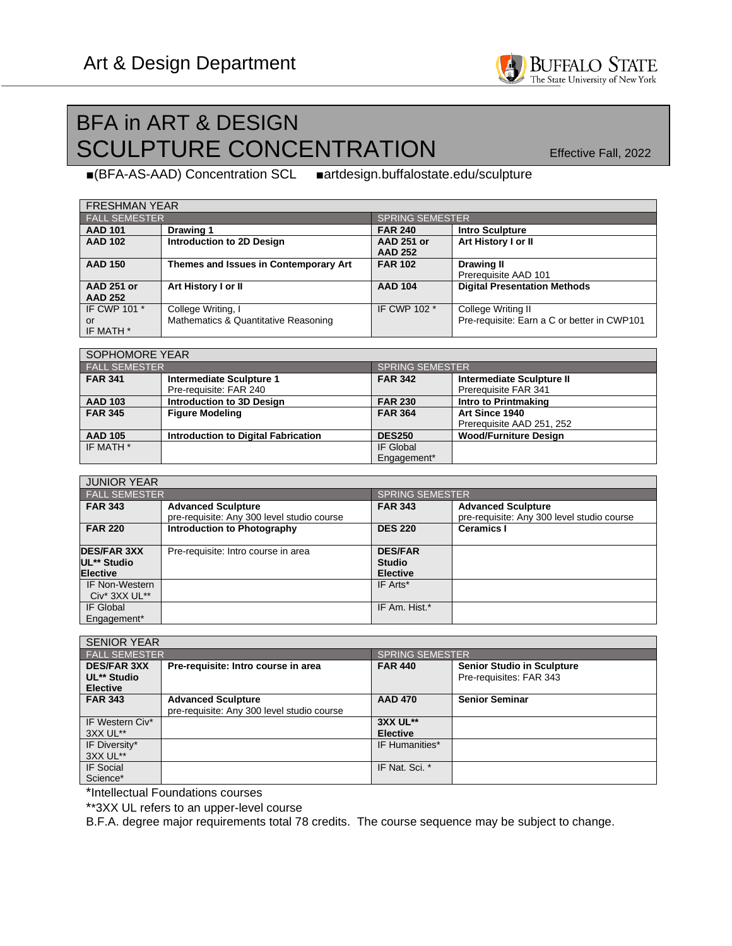

## BFA in ART & DESIGN SCULPTURE CONCENTRATION Effective Fall, 2022

■(BFA-AS-AAD) Concentration SCL ■artdesign.buffalostate.edu/sculpture

| <b>FRESHMAN YEAR</b> |                                       |                        |                                             |  |  |
|----------------------|---------------------------------------|------------------------|---------------------------------------------|--|--|
| <b>FALL SEMESTER</b> |                                       | <b>SPRING SEMESTER</b> |                                             |  |  |
| <b>AAD 101</b>       | Drawing 1                             | <b>FAR 240</b>         | <b>Intro Sculpture</b>                      |  |  |
| <b>AAD 102</b>       | Introduction to 2D Design             | <b>AAD 251 or</b>      | Art History I or II                         |  |  |
|                      |                                       | <b>AAD 252</b>         |                                             |  |  |
| <b>AAD 150</b>       | Themes and Issues in Contemporary Art | <b>FAR 102</b>         | <b>Drawing II</b>                           |  |  |
|                      |                                       |                        | Prerequisite AAD 101                        |  |  |
| <b>AAD 251 or</b>    | Art History I or II                   | <b>AAD 104</b>         | <b>Digital Presentation Methods</b>         |  |  |
| <b>AAD 252</b>       |                                       |                        |                                             |  |  |
| IF CWP 101 *         | College Writing, I                    | IF CWP 102 *           | College Writing II                          |  |  |
| or                   | Mathematics & Quantitative Reasoning  |                        | Pre-requisite: Earn a C or better in CWP101 |  |  |
| IF MATH *            |                                       |                        |                                             |  |  |

| SOPHOMORE YEAR       |                                            |                        |                              |  |  |
|----------------------|--------------------------------------------|------------------------|------------------------------|--|--|
| <b>FALL SEMESTER</b> |                                            | <b>SPRING SEMESTER</b> |                              |  |  |
| <b>FAR 341</b>       | Intermediate Sculpture 1                   | <b>FAR 342</b>         | Intermediate Sculpture II    |  |  |
|                      | Pre-requisite: FAR 240                     |                        | Prerequisite FAR 341         |  |  |
| <b>AAD 103</b>       | Introduction to 3D Design                  | <b>FAR 230</b>         | Intro to Printmaking         |  |  |
| <b>FAR 345</b>       | <b>Figure Modeling</b>                     | <b>FAR 364</b>         | Art Since 1940               |  |  |
|                      |                                            |                        | Prerequisite AAD 251, 252    |  |  |
| <b>AAD 105</b>       | <b>Introduction to Digital Fabrication</b> | <b>DES250</b>          | <b>Wood/Furniture Design</b> |  |  |
| IF MATH *            |                                            | IF Global              |                              |  |  |
|                      |                                            | Engagement*            |                              |  |  |

| <b>JUNIOR YEAR</b>                                   |                                                                         |                                                    |                                                                         |  |  |
|------------------------------------------------------|-------------------------------------------------------------------------|----------------------------------------------------|-------------------------------------------------------------------------|--|--|
| <b>FALL SEMESTER</b>                                 |                                                                         | <b>SPRING SEMESTER</b>                             |                                                                         |  |  |
| <b>FAR 343</b>                                       | <b>Advanced Sculpture</b><br>pre-requisite: Any 300 level studio course | <b>FAR 343</b>                                     | <b>Advanced Sculpture</b><br>pre-requisite: Any 300 level studio course |  |  |
| <b>FAR 220</b>                                       | Introduction to Photography                                             | <b>DES 220</b>                                     | <b>Ceramics I</b>                                                       |  |  |
| <b>DES/FAR 3XX</b><br>UL** Studio<br><b>Elective</b> | Pre-requisite: Intro course in area                                     | <b>DES/FAR</b><br><b>Studio</b><br><b>Elective</b> |                                                                         |  |  |
| <b>IF Non-Western</b><br>Civ* 3XX UL**               |                                                                         | IF Arts*                                           |                                                                         |  |  |
| IF Global<br>Engagement*                             |                                                                         | IF Am. Hist.*                                      |                                                                         |  |  |

| <b>SENIOR YEAR</b>                                   |                                                                         |                 |                                                              |  |
|------------------------------------------------------|-------------------------------------------------------------------------|-----------------|--------------------------------------------------------------|--|
| <b>FALL SEMESTER</b>                                 |                                                                         | SPRING SEMESTER |                                                              |  |
| <b>DES/FAR 3XX</b><br>UL** Studio<br><b>Elective</b> | Pre-requisite: Intro course in area                                     | <b>FAR 440</b>  | <b>Senior Studio in Sculpture</b><br>Pre-requisites: FAR 343 |  |
| <b>FAR 343</b>                                       | <b>Advanced Sculpture</b><br>pre-requisite: Any 300 level studio course | <b>AAD 470</b>  | <b>Senior Seminar</b>                                        |  |
| IF Western Civ*                                      |                                                                         | 3XX UL**        |                                                              |  |
| 3XX UL**                                             |                                                                         | <b>Elective</b> |                                                              |  |
| IF Diversity*                                        |                                                                         | IF Humanities*  |                                                              |  |
| 3XX UL**                                             |                                                                         |                 |                                                              |  |
| IF Social                                            |                                                                         | IF Nat. Sci. *  |                                                              |  |
| Science*                                             |                                                                         |                 |                                                              |  |

\*Intellectual Foundations courses

\*\*3XX UL refers to an upper-level course

B.F.A. degree major requirements total 78 credits. The course sequence may be subject to change.